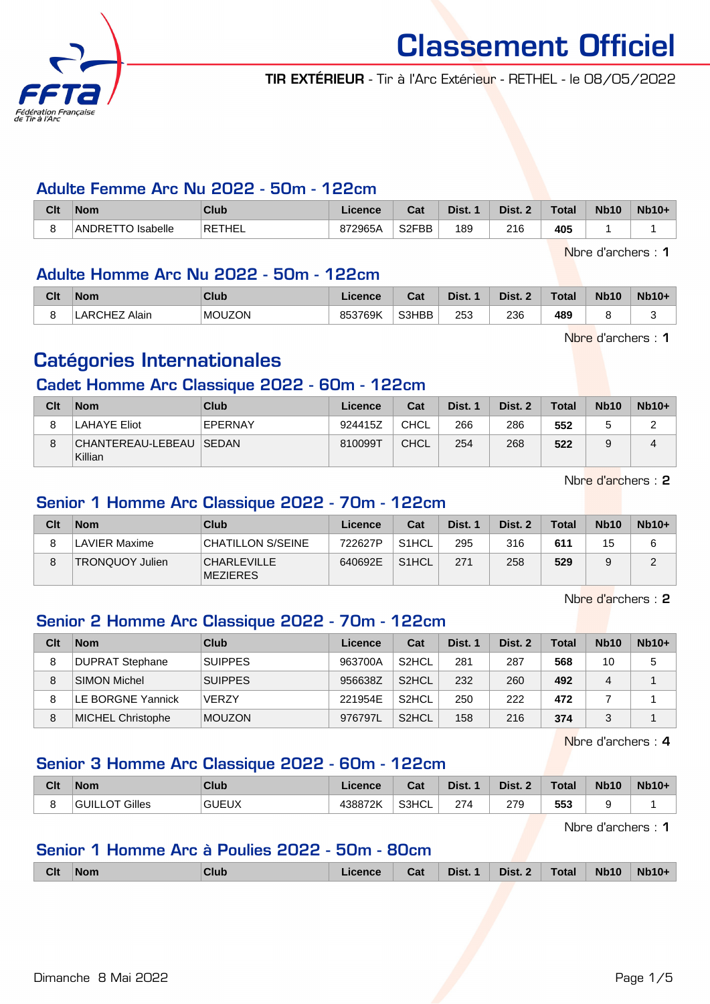

TIR EXTÉRIEUR - Tir à l'Arc Extérieur - RETHEL - le 08/05/2022

#### Adulte Femme Arc Nu 2022 - 50m - 122cm

| Clt | <b>Nom</b>                        | <b>Club</b> | Licence | ◠⌒▴<br>⊍aι         | Dist. | Dist. 2 | Total | <b>Nb10</b> | <b>Nb10+</b> |
|-----|-----------------------------------|-------------|---------|--------------------|-------|---------|-------|-------------|--------------|
|     | ANDRETTO<br>lsabelle <sup>ר</sup> | RETHEL      | 872965A | S <sub>2</sub> FBB | 189   | 216     | 405   |             |              |

Nbre d'archers : 1

#### Adulte Homme Arc Nu 2022 - 50m - 122cm

| Clt | <b>Nom</b>                   | Club          | icence  | יפ<br>⊍d | Dist. | Dist. | <b>Total</b> | <b>Nb10</b> | <b>Nb10-</b><br>1 U t |
|-----|------------------------------|---------------|---------|----------|-------|-------|--------------|-------------|-----------------------|
|     | JHE7<br>Alair<br>. ARC'<br>- | <b>MOUZON</b> | 853769K | S3HBB    | 253   | 236   | 489          |             |                       |

Nbre d'archers : 1

## Catégories Internationales

### Cadet Homme Arc Classique 2022 - 60m - 122cm

| Clt | <b>Nom</b>                           | <b>Club</b> | Licence | Cat         | Dist. 1 | Dist. 2 | <b>Total</b> | <b>Nb10</b> | $Nb10+$ |
|-----|--------------------------------------|-------------|---------|-------------|---------|---------|--------------|-------------|---------|
| 8   | <b>LAHAYE Eliot</b>                  | EPERNAY     | 924415Z | CHCL        | 266     | 286     | 552          |             |         |
| 8   | CHANTEREAU-LEBEAU   SEDAN<br>Killian |             | 810099T | <b>CHCL</b> | 254     | 268     | 522          |             |         |

Nbre d'archers : 2

#### Senior 1 Homme Arc Classique 2022 - 70m - 122cm

| Clt | <b>Nom</b>      | Club                                  | Licence | Cat                | Dist. 1 | Dist. 2 | <b>Total</b> | <b>Nb10</b> | $Nb10+$ |
|-----|-----------------|---------------------------------------|---------|--------------------|---------|---------|--------------|-------------|---------|
|     | LAVIER Maxime   | CHATILLON S/SEINE                     | 722627P | S <sub>1</sub> HCL | 295     | 316     | 611          | 15          |         |
|     | TRONQUOY Julien | <b>CHARLEVILLE</b><br><b>MEZIERES</b> | 640692E | S <sub>1</sub> HCL | 271     | 258     | 529          |             | ◠       |

Nbre d'archers : 2

### Senior 2 Homme Arc Classique 2022 - 70m - 122cm

| Clt | <b>Nom</b>               | Club           | Licence | Cat                | Dist. 1 | Dist. 2 | <b>Total</b> | <b>Nb10</b> | $Nb10+$ |
|-----|--------------------------|----------------|---------|--------------------|---------|---------|--------------|-------------|---------|
| 8   | <b>DUPRAT Stephane</b>   | <b>SUIPPES</b> | 963700A | S <sub>2</sub> HCL | 281     | 287     | 568          | 10          | 5       |
| 8   | <b>SIMON Michel</b>      | <b>SUIPPES</b> | 956638Z | S <sub>2</sub> HCL | 232     | 260     | 492          | 4           |         |
|     | LE BORGNE Yannick        | <b>VERZY</b>   | 221954E | S <sub>2</sub> HCL | 250     | 222     | 472          |             |         |
| 8   | <b>MICHEL Christophe</b> | <b>MOUZON</b>  | 976797L | S <sub>2</sub> HCL | 158     | 216     | 374          | 2           |         |

Nbre d'archers : 4

#### Senior 3 Homme Arc Classique 2022 - 60m - 122cm

| Clt | <b>Nom</b>               | Club         | Licence | <b>Column</b><br>⊍م | Dist. | Dist. | Total | <b>Nb10</b> | $Nb10+$ |
|-----|--------------------------|--------------|---------|---------------------|-------|-------|-------|-------------|---------|
|     | Gilles<br><b>GUILLOT</b> | <b>GUEUX</b> | 438872K | S3HCL               | 274   | 279   | 553   |             |         |

Nbre d'archers : 1

#### Senior 1 Homme Arc à Poulies 2022 - 50m - 80cm

|  | <b>Clt</b> | ∣Nom | Club | <b>Licence</b> | Cat | Dist. 1 $\parallel$ | Dist. 2   Total |  | <b>Nb10</b> | $Nb10+$ |
|--|------------|------|------|----------------|-----|---------------------|-----------------|--|-------------|---------|
|--|------------|------|------|----------------|-----|---------------------|-----------------|--|-------------|---------|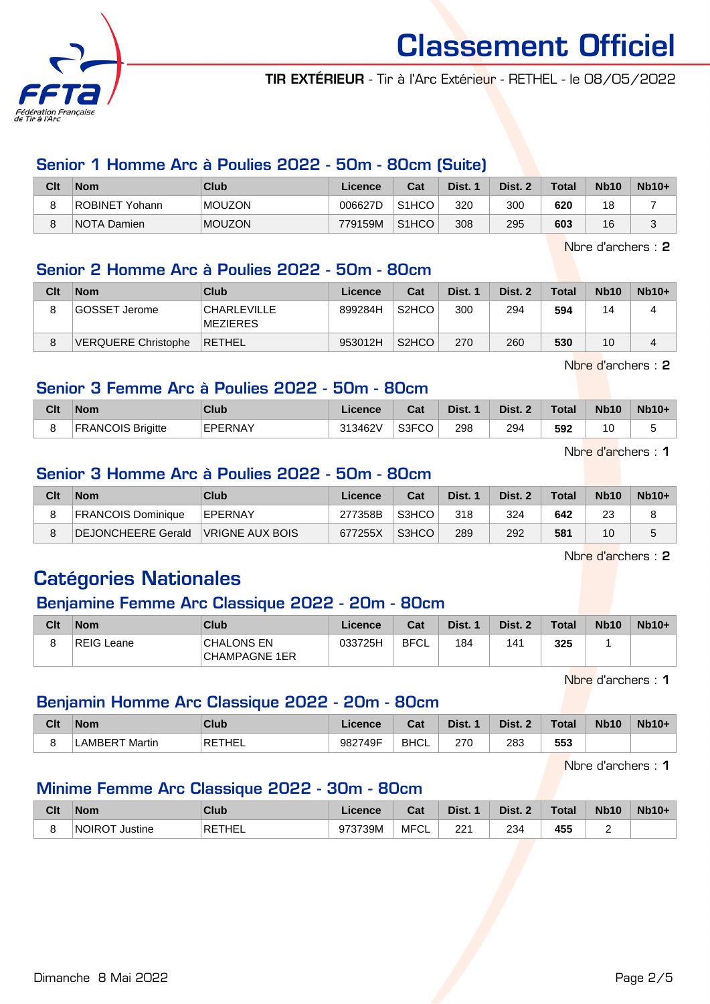

TIR EXTÉRIEUR - Tir à l'Arc Extérieur - RETHEL - le 08/05/2022

#### Senior 1 Homme Arc à Poulies 2022 - 50m - 80cm (Suite)

| Clt | <b>Nom</b>     | Club          | Licence | Cat                | Dist. | Dist. $\lambda$ | <b>Total</b> | <b>Nb10</b> | $Nb10+$ |
|-----|----------------|---------------|---------|--------------------|-------|-----------------|--------------|-------------|---------|
| 8   | ROBINET Yohann | <b>MOUZON</b> | 006627D | S1HCO              | 320   | 300             | 620          | 18          |         |
| 8   | NOTA Damien    | <b>MOUZON</b> | 779159M | S <sub>1</sub> HCO | 308   | 295             | 603          | 16          | ⌒       |

Nbre d'archers : 2

#### Senior 2 Homme Arc à Poulies 2022 - 50m - 80cm

| Clt | <b>Nom</b>                 | Club                            | Licence | Cat                | Dist. 1 | Dist. 2 | <b>Total</b> | <b>Nb10</b> | $Nb10+$ |
|-----|----------------------------|---------------------------------|---------|--------------------|---------|---------|--------------|-------------|---------|
| 8   | GOSSET Jerome              | CHARLEVILLE <br><b>MEZIERES</b> | 899284H | S <sub>2</sub> HCO | 300     | 294     | 594          | 14          |         |
| 8   | <b>VERQUERE Christophe</b> | <b>RETHEL</b>                   | 953012H | S <sub>2</sub> HCO | 270     | 260     | 530          | 10          |         |

Nbre d'archers : 2

#### Senior 3 Femme Arc à Poulies 2022 - 50m - 80cm

| Clt | Nom                      | Club           | Licence | Cat   | Dist. | Dist. 2 | <b>Total</b> | <b>Nb10</b> | $Nb10+$ |
|-----|--------------------------|----------------|---------|-------|-------|---------|--------------|-------------|---------|
|     | <b>FRANCOIS Brigitte</b> | <b>EPERNAY</b> | 313462V | S3FCO | 298   | 294     | 592          | 10          | J       |

Nbre d'archers : 1

#### Senior 3 Homme Arc à Poulies 2022 - 50m - 80cm

| Clt     | <b>Nom</b>                | Club            | Licence | Cat   | Dist. 1 | Dist. 2 | <b>Total</b> | <b>Nb10</b> | $Nb10+$ |
|---------|---------------------------|-----------------|---------|-------|---------|---------|--------------|-------------|---------|
| $\circ$ | <b>FRANCOIS Dominique</b> | <b>EPERNAY</b>  | 277358B | S3HCO | 318     | 324     | 642          | 23          |         |
|         | DEJONCHEERE Gerald        | VRIGNE AUX BOIS | 677255X | S3HCO | 289     | 292     | 581          | 10          |         |

Nbre d'archers : 2

## Catégories Nationales

#### Benjamine Femme Arc Classique 2022 - 20m - 80cm

| Clt | <b>Nom</b> | Club                               | ∟icence⊬ | Cat         | Dist. 1 | Dist. 2 | <b>Total</b> | <b>Nb10</b> | $Nb10+$ |
|-----|------------|------------------------------------|----------|-------------|---------|---------|--------------|-------------|---------|
|     | REIG Leane | <b>CHALONS EN</b><br>CHAMPAGNE 1ER | 033725H  | <b>BFCL</b> | 184     | 141     | 325          |             |         |

Nbre d'archers : 1

#### Benjamin Homme Arc Classique 2022 - 20m - 80cm

| Clt | <b>Nom</b>     | Club          | <b>Licence</b> | <b>Colu</b><br>⊍aι    | Dist.         | <b>Dict</b> | Total        | <b>Nb10</b> | <b>Nb10+</b> |
|-----|----------------|---------------|----------------|-----------------------|---------------|-------------|--------------|-------------|--------------|
|     | Martin<br>AMRF | <b>RETHEL</b> | 982749F        | <b>BHCL</b><br>______ | 270<br>$\sim$ | 283<br>__   | 553<br>- - - |             |              |

Nbre d'archers : 1

#### Minime Femme Arc Classique 2022 - 30m - 80cm

| Clt | <b>Nom</b>                | Club          | Licence | ่ ี่ ี่ ่า ่<br>⊍d | Dist. | Dist. | <b>Total</b> | <b>Nb10</b> | $Nb10+$ |
|-----|---------------------------|---------------|---------|--------------------|-------|-------|--------------|-------------|---------|
|     | <b>INOIROT</b><br>Justine | <b>RETHEL</b> | 973739M | MFC'<br>◡∟         | 221   | 234   | 455          |             |         |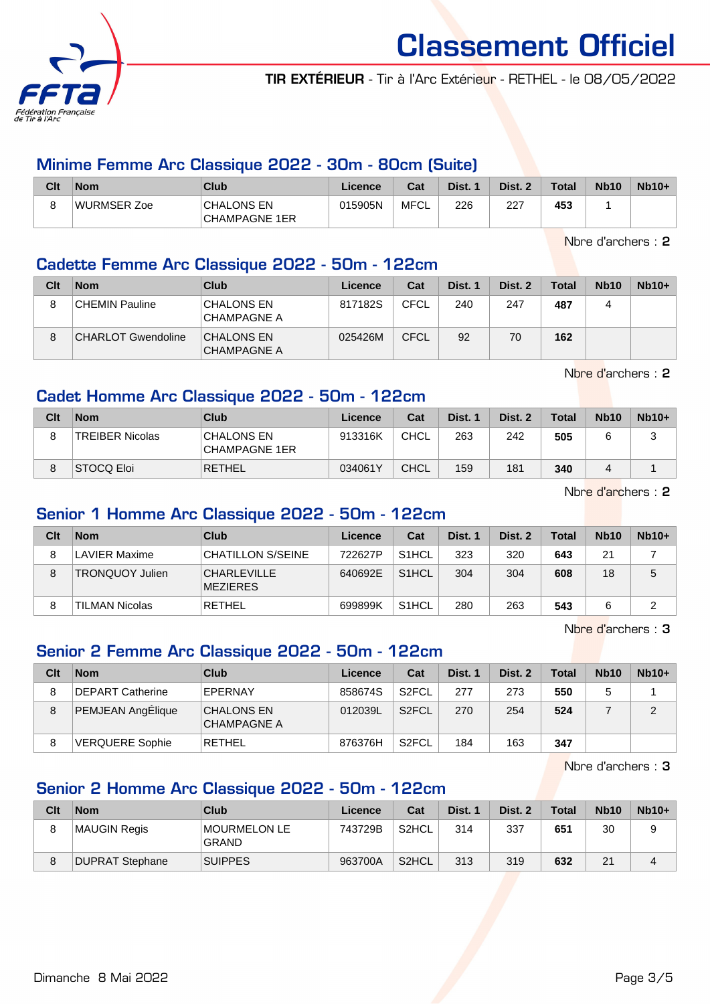

TIR EXTÉRIEUR - Tir à l'Arc Extérieur - RETHEL - le 08/05/2022

#### Minime Femme Arc Classique 2022 - 30m - 80cm (Suite)

| Clt | <b>Nom</b>  | Club                                      | Licence | Cat  | Dist. | Dist. 2 | <b>Total</b> | <b>Nb10</b> | $Nb10+$ |
|-----|-------------|-------------------------------------------|---------|------|-------|---------|--------------|-------------|---------|
|     | WURMSER Zoe | <b>CHALONS EN</b><br><b>CHAMPAGNE 1ER</b> | 015905N | MFCL | 226   | -227    | 453          |             |         |

Nbre d'archers : 2

#### Cadette Femme Arc Classique 2022 - 50m - 122cm

| Clt | <b>Nom</b>                | Club                                    | Licence | Cat         | Dist. 1 | Dist. 2 | <b>Total</b> | <b>Nb10</b> | $Nb10+$ |
|-----|---------------------------|-----------------------------------------|---------|-------------|---------|---------|--------------|-------------|---------|
| 8   | CHEMIN Pauline            | <b>CHALONS EN</b><br><b>CHAMPAGNE A</b> | 817182S | <b>CFCL</b> | 240     | 247     | 487          |             |         |
| 8   | <b>CHARLOT Gwendoline</b> | <b>CHALONS EN</b><br><b>CHAMPAGNE A</b> | 025426M | <b>CFCL</b> | 92      | 70      | 162          |             |         |

Nbre d'archers : 2

#### Cadet Homme Arc Classique 2022 - 50m - 122cm

| Clt | <b>Nom</b>             | <b>Club</b>                        | Licence | Cat         | Dist. 1 | Dist. 2 | <b>Total</b> | <b>Nb10</b> | $Nb10+$ |
|-----|------------------------|------------------------------------|---------|-------------|---------|---------|--------------|-------------|---------|
|     | <b>TREIBER Nicolas</b> | CHALONS EN<br><b>CHAMPAGNE 1ER</b> | 913316K | CHCL        | 263     | 242     | 505          |             | ບ       |
|     | STOCQ Eloi             | <b>RETHEL</b>                      | 034061Y | <b>CHCL</b> | 159     | 181     | 340          | 4           |         |

Nbre d'archers : 2

#### Senior 1 Homme Arc Classique 2022 - 50m - 122cm

| Clt | <b>Nom</b>             | Club                                  | Licence | Cat                | Dist. 1 | Dist. 2 | Total | <b>Nb10</b> | $Nb10+$ |
|-----|------------------------|---------------------------------------|---------|--------------------|---------|---------|-------|-------------|---------|
| 8   | LAVIER Maxime          | 'CHATILLON S/SEINE                    | 722627P | S <sub>1</sub> HCL | 323     | 320     | 643   | 21          |         |
| 8   | <b>TRONQUOY Julien</b> | <b>CHARLEVILLE</b><br><b>MEZIERES</b> | 640692E | S <sub>1</sub> HCL | 304     | 304     | 608   | 18          | 5       |
| 8   | TILMAN Nicolas         | RETHEL                                | 699899K | S <sub>1</sub> HCL | 280     | 263     | 543   |             | ີ       |

Nbre d'archers : 3

### Senior 2 Femme Arc Classique 2022 - 50m - 122cm

| Clt | <b>Nom</b>             | Club                                    | Licence | Cat                | Dist. 1 | Dist. 2 | Total | <b>Nb10</b> | $Nb10+$ |
|-----|------------------------|-----------------------------------------|---------|--------------------|---------|---------|-------|-------------|---------|
| 8   | DEPART Catherine       | EPERNAY                                 | 858674S | S <sub>2</sub> FCL | 277     | 273     | 550   |             |         |
| 8   | PEMJEAN AngÉlique      | <b>CHALONS EN</b><br><b>CHAMPAGNE A</b> | 012039L | S <sub>2</sub> FCL | 270     | 254     | 524   |             | 2       |
| 8   | <b>VERQUERE Sophie</b> | RETHEL                                  | 876376H | S <sub>2</sub> FCL | 184     | 163     | 347   |             |         |

Nbre d'archers : 3

#### Senior 2 Homme Arc Classique 2022 - 50m - 122cm

| Clt | <b>Nom</b>      | Club                         | Licence | Cat                | Dist. 1 | Dist. 2 | <b>Total</b> | <b>Nb10</b> | $Nb10+$ |
|-----|-----------------|------------------------------|---------|--------------------|---------|---------|--------------|-------------|---------|
|     | MAUGIN Regis    | MOURMELON LE<br><b>GRAND</b> | 743729B | S <sub>2</sub> HCL | 314     | 337     | 651          | 30          |         |
|     | DUPRAT Stephane | <b>SUIPPES</b>               | 963700A | S <sub>2</sub> HCL | 313     | 319     | 632          | 21          | 4       |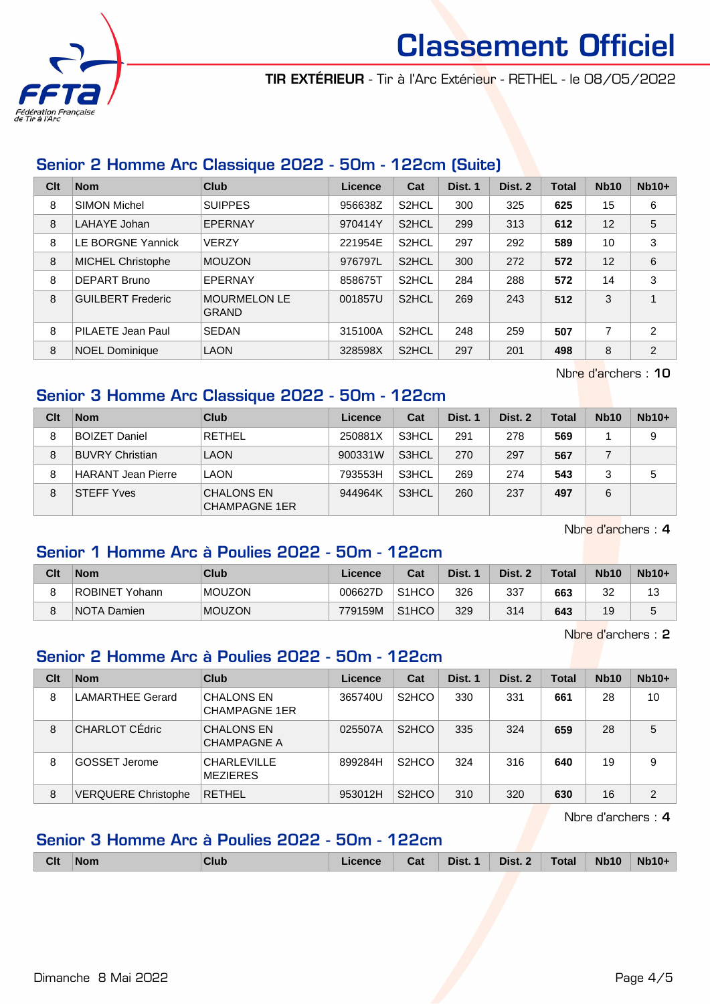

TIR EXTÉRIEUR - Tir à l'Arc Extérieur - RETHEL - le 08/05/2022

#### Senior 2 Homme Arc Classique 2022 - 50m - 122cm (Suite)

| Clt | <b>Nom</b>               | Club                                | Licence | Cat                | Dist. 1 | Dist. 2 | <b>Total</b> | <b>Nb10</b> | $Nb10+$        |
|-----|--------------------------|-------------------------------------|---------|--------------------|---------|---------|--------------|-------------|----------------|
| 8   | <b>SIMON Michel</b>      | <b>SUIPPES</b>                      | 956638Z | S <sub>2</sub> HCL | 300     | 325     | 625          | 15          | 6              |
| 8   | LAHAYE Johan             | EPERNAY                             | 970414Y | S <sub>2</sub> HCL | 299     | 313     | 612          | 12          | 5              |
| 8   | LE BORGNE Yannick        | <b>VERZY</b>                        | 221954E | S <sub>2</sub> HCL | 297     | 292     | 589          | 10          | 3              |
| 8   | <b>MICHEL Christophe</b> | <b>MOUZON</b>                       | 976797L | S <sub>2</sub> HCL | 300     | 272     | 572          | 12          | 6              |
| 8   | <b>DEPART Bruno</b>      | EPERNAY                             | 858675T | S <sub>2</sub> HCL | 284     | 288     | 572          | 14          | 3              |
| 8   | <b>GUILBERT Frederic</b> | <b>MOURMELON LE</b><br><b>GRAND</b> | 001857U | S <sub>2</sub> HCL | 269     | 243     | 512          | 3           | $\overline{A}$ |
| 8   | PILAETE Jean Paul        | <b>SEDAN</b>                        | 315100A | S <sub>2</sub> HCL | 248     | 259     | 507          | 7           | $\overline{2}$ |
| 8   | <b>NOEL Dominique</b>    | <b>LAON</b>                         | 328598X | S <sub>2</sub> HCL | 297     | 201     | 498          | 8           | 2              |

Nbre d'archers : 10

#### Senior 3 Homme Arc Classique 2022 - 50m - 122cm

| Clt | <b>Nom</b>                | Club                                      | Licence | Cat   | Dist. 1 | Dist. 2 | <b>Total</b> | <b>Nb10</b> | $Nb10+$ |
|-----|---------------------------|-------------------------------------------|---------|-------|---------|---------|--------------|-------------|---------|
| 8   | <b>BOIZET Daniel</b>      | <b>RETHEL</b>                             | 250881X | S3HCL | 291     | 278     | 569          |             | 9       |
| 8   | <b>BUVRY Christian</b>    | <b>LAON</b>                               | 900331W | S3HCL | 270     | 297     | 567          |             |         |
| 8   | <b>HARANT Jean Pierre</b> | <b>LAON</b>                               | 793553H | S3HCL | 269     | 274     | 543          | 3           | 5       |
| 8   | <b>STEFF Yves</b>         | <b>CHALONS EN</b><br><b>CHAMPAGNE 1ER</b> | 944964K | S3HCL | 260     | 237     | 497          | 6           |         |

Nbre d'archers : 4

#### Senior 1 Homme Arc à Poulies 2022 - 50m - 122cm

| Clt | <b>Nom</b>     | Club          | Licence | Cat                | Dist. 1 | Dist. 2 | <b>Total</b> | <b>Nb10</b> | $Nb10+$ |
|-----|----------------|---------------|---------|--------------------|---------|---------|--------------|-------------|---------|
| 8   | ROBINET Yohann | <b>MOUZON</b> | 006627D | S <sub>1</sub> HCO | 326     | 337     | 663          | 32          | 13      |
| 8   | NOTA Damien    | <b>MOUZON</b> | 779159M | S <sub>1</sub> HCO | 329     | 314     | 643          | 19          | 5       |

Nbre d'archers : 2

#### Senior 2 Homme Arc à Poulies 2022 - 50m - 122cm

| Clt | <b>Nom</b>                 | Club                                      | Licence | Cat                | Dist. 1 | Dist. 2 | Total | <b>Nb10</b> | $Nb10+$ |
|-----|----------------------------|-------------------------------------------|---------|--------------------|---------|---------|-------|-------------|---------|
| 8   | <b>LAMARTHEE Gerard</b>    | <b>CHALONS EN</b><br><b>CHAMPAGNE 1ER</b> | 365740U | S <sub>2</sub> HCO | 330     | 331     | 661   | 28          | 10      |
| 8   | CHARLOT CÉdric             | <b>CHALONS EN</b><br><b>CHAMPAGNE A</b>   | 025507A | S <sub>2</sub> HCO | 335     | 324     | 659   | 28          | 5       |
| 8   | GOSSET Jerome              | <b>CHARLEVILLE</b><br><b>MEZIERES</b>     | 899284H | S <sub>2</sub> HCO | 324     | 316     | 640   | 19          | 9       |
| 8   | <b>VERQUERE Christophe</b> | <b>RETHEL</b>                             | 953012H | S <sub>2</sub> HCO | 310     | 320     | 630   | 16          | 2       |

Nbre d'archers : 4

#### Senior 3 Homme Arc à Poulies 2022 - 50m - 122cm

|  | <b>Clt</b> | <b>Nom</b> | Club | icence | Cat | Dist. | Dist. | Total | <b>Nb10</b> | <b>Nb10-</b> |
|--|------------|------------|------|--------|-----|-------|-------|-------|-------------|--------------|
|--|------------|------------|------|--------|-----|-------|-------|-------|-------------|--------------|